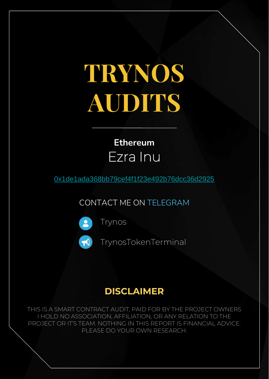# **TRYNOS AUDITS**

### **Ethereum** Ezra Inu

[0x1de1ada368bb79cef4f1f23e492b76dcc36d2925](https://etherscan.io/address/0x1de1ada368bb79cef4f1f23e492b76dcc36d2925#code)

CONTACT ME ON TELEGRAM



[Trynos](https://t.me/Trynos)

[TrynosTokenTerminal](https://t.me/TrynosTokenTerminal)

#### **DISCLAIMER**

THIS IS A SMART CONTRACT AUDIT, PAID FOR BY THE PROJECT OWNERS I HOLD NO ASSOCIATION, AFFILIATION, OR ANY RELATION TO THE PROJECT OR IT'S TEAM. NOTHING IN THIS REPORT IS FINANCIAL ADVICE. PLEASE DO YOUR OWN RESEARCH.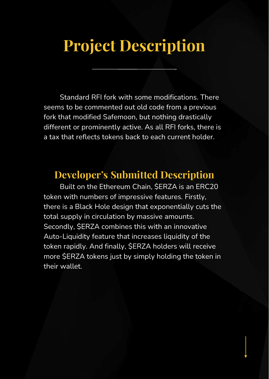### **Project Description**

Standard RFI fork with some modifications. There seems to be commented out old code from a previous fork that modified Safemoon, but nothing drastically different or prominently active. As all RFI forks, there is a tax that reflects tokens back to each current holder.

#### **Developer's Submitted Description**

Built on the Ethereum Chain, \$ERZA is an ERC20 token with numbers of impressive features. Firstly, there is a Black Hole design that exponentially cuts the total supply in circulation by massive amounts. Secondly, \$ERZA combines this with an innovative Auto-Liquidity feature that increases liquidity of the token rapidly. And finally, \$ERZA holders will receive more \$ERZA tokens just by simply holding the token in their wallet.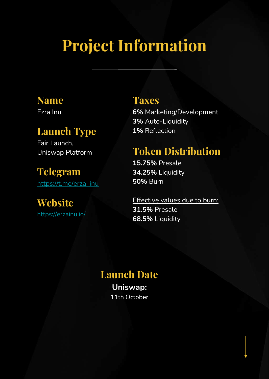# **Project Information**

#### **Name**

Ezra Inu

#### **Launch Type**

Fair Launch, Uniswap Platform

**Telegram** [https://t.me/erza\\_inu](https://t.me/erza_inu)

#### **Website** <https://erzainu.io/>

#### **Taxes**

**6%** Marketing/Development **3%** Auto-Liquidity **1%** Reflection

### **Token Distribution**

**15.75%** Presale **34.25%** Liquidity **50%** Burn

Effective values due to burn: **31.5%** Presale **68.5%** Liquidity

#### **Launch Date Uniswap:**

11th October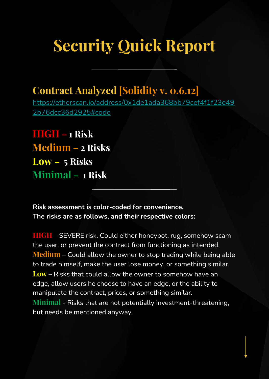# **Security Quick Report**

### **Contract Analyzed [Solidity v. 0.6.12]**

[https://etherscan.io/address/0x1de1ada368bb79cef4f1f23e49](https://etherscan.io/address/0x1de1ada368bb79cef4f1f23e492b76dcc36d2925#code) 2b76dcc36d2925#code

**HIGH – 1 Risk Medium – 2 Risks Low – 5 Risks Minimal – 1 Risk**

**Risk assessment is color-coded for convenience. The risks are as follows, and their respective colors:**

**HIGH** – SEVERE risk. Could either honeypot, rug, somehow scam the user, or prevent the contract from functioning as intended. **Medium** – Could allow the owner to stop trading while being able to trade himself, make the user lose money, or something similar. **Low** – Risks that could allow the owner to somehow have an edge, allow users he choose to have an edge, or the ability to manipulate the contract, prices, or something similar. **Minimal** - Risks that are not potentially investment-threatening, but needs be mentioned anyway.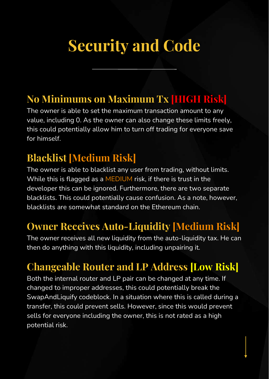# **Security and Code**

### **No Minimums on Maximum Tx [HIGH Risk]**

The owner is able to set the maximum transaction amount to any value, including 0. As the owner can also change these limits freely, this could potentially allow him to turn off trading for everyone save for himself.

### **Blacklist [Medium Risk]**

The owner is able to blacklist any user from trading, without limits. While this is flagged as a MEDIUM risk, if there is trust in the developer this can be ignored. Furthermore, there are two separate blacklists. This could potentially cause confusion. As a note, however, blacklists are somewhat standard on the Ethereum chain.

### **Owner Receives Auto-Liquidity [Medium Risk]**

The owner receives all new liquidity from the auto-liquidity tax. He can then do anything with this liquidity, including unpairing it.

### **Changeable Router and LP Address [Low Risk]**

Both the internal router and LP pair can be changed at any time. If changed to improper addresses, this could potentially break the SwapAndLiquify codeblock. In a situation where this is called during a transfer, this could prevent sells. However, since this would prevent sells for everyone including the owner, this is not rated as a high potential risk.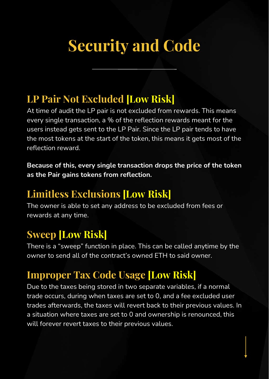# **Security and Code**

#### **LP Pair Not Excluded [Low Risk]**

At time of audit the LP pair is not excluded from rewards. This means every single transaction, a % of the reflection rewards meant for the users instead gets sent to the LP Pair. Since the LP pair tends to have the most tokens at the start of the token, this means it gets most of the reflection reward.

**Because of this, every single transaction drops the price of the token as the Pair gains tokens from reflection.**

#### **Limitless Exclusions [Low Risk]**

The owner is able to set any address to be excluded from fees or rewards at any time.

#### **Sweep [Low Risk]**

There is a "sweep" function in place. This can be called anytime by the owner to send all of the contract's owned ETH to said owner.

### **Improper Tax Code Usage [Low Risk]**

Due to the taxes being stored in two separate variables, if a normal trade occurs, during when taxes are set to 0, and a fee excluded user trades afterwards, the taxes will revert back to their previous values. In a situation where taxes are set to 0 and ownership is renounced, this will forever revert taxes to their previous values.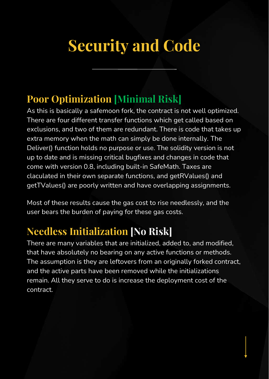# **Security and Code**

### **Poor Optimization [Minimal Risk]**

As this is basically a safemoon fork, the contract is not well optimized. There are four different transfer functions which get called based on exclusions, and two of them are redundant. There is code that takes up extra memory when the math can simply be done internally. The Deliver() function holds no purpose or use. The solidity version is not up to date and is missing critical bugfixes and changes in code that come with version 0.8, including built-in SafeMath. Taxes are claculated in their own separate functions, and getRValues() and getTValues() are poorly written and have overlapping assignments.

Most of these results cause the gas cost to rise needlessly, and the user bears the burden of paying for these gas costs.

### **Needless Initialization [No Risk]**

There are many variables that are initialized, added to, and modified, that have absolutely no bearing on any active functions or methods. The assumption is they are leftovers from an originally forked contract, and the active parts have been removed while the initializations remain. All they serve to do is increase the deployment cost of the contract.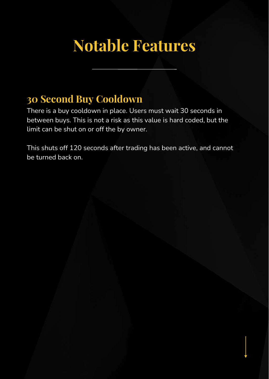## **Notable Features**

#### **30 Second Buy Cooldown**

There is a buy cooldown in place. Users must wait 30 seconds in between buys. This is not a risk as this value is hard coded, but the limit can be shut on or off the by owner.

This shuts off 120 seconds after trading has been active, and cannot be turned back on.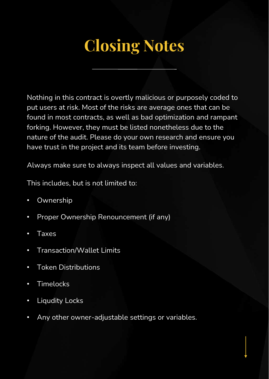# **Closing Notes**

Nothing in this contract is overtly malicious or purposely coded to put users at risk. Most of the risks are average ones that can be found in most contracts, as well as bad optimization and rampant forking. However, they must be listed nonetheless due to the nature of the audit. Please do your own research and ensure you have trust in the project and its team before investing.

Always make sure to always inspect all values and variables.

This includes, but is not limited to:

- Ownership
- Proper Ownership Renouncement (if any)
- **Taxes**
- Transaction/Wallet Limits
- Token Distributions
- **Timelocks**
- Liqudity Locks
- Any other owner-adjustable settings or variables.